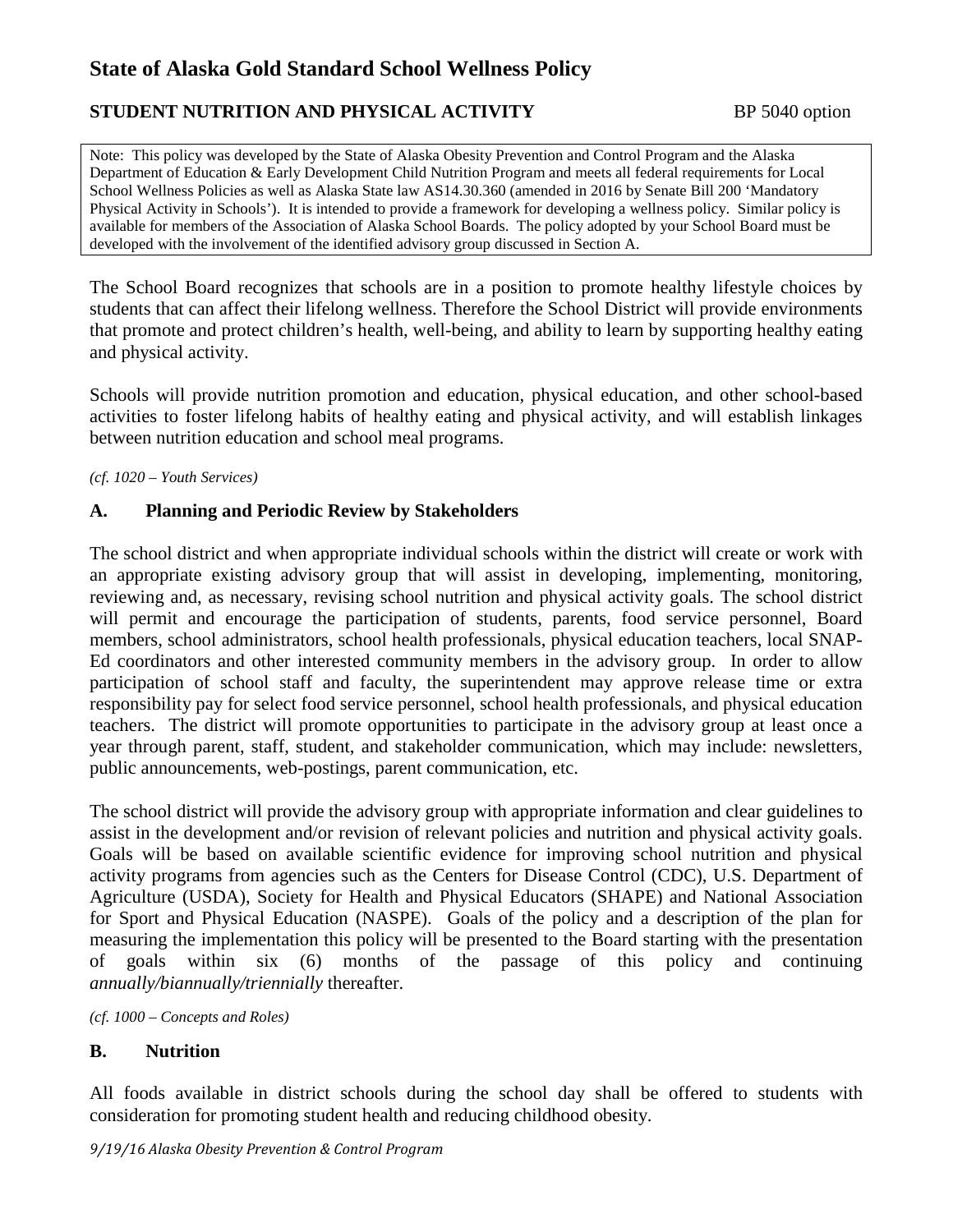## **STUDENT NUTRITION AND PHYSICAL ACTIVITY** BP 5040 option

Note: This policy was developed by the State of Alaska Obesity Prevention and Control Program and the Alaska Department of Education & Early Development Child Nutrition Program and meets all federal requirements for Local School Wellness Policies as well as Alaska State law AS14.30.360 (amended in 2016 by Senate Bill 200 'Mandatory Physical Activity in Schools'). It is intended to provide a framework for developing a wellness policy. Similar policy is available for members of the Association of Alaska School Boards. The policy adopted by your School Board must be developed with the involvement of the identified advisory group discussed in Section A.

The School Board recognizes that schools are in a position to promote healthy lifestyle choices by students that can affect their lifelong wellness. Therefore the School District will provide environments that promote and protect children's health, well-being, and ability to learn by supporting healthy eating and physical activity.

Schools will provide nutrition promotion and education, physical education, and other school-based activities to foster lifelong habits of healthy eating and physical activity, and will establish linkages between nutrition education and school meal programs.

*(cf. 1020 – Youth Services)*

#### **A. Planning and Periodic Review by Stakeholders**

The school district and when appropriate individual schools within the district will create or work with an appropriate existing advisory group that will assist in developing, implementing, monitoring, reviewing and, as necessary, revising school nutrition and physical activity goals. The school district will permit and encourage the participation of students, parents, food service personnel, Board members, school administrators, school health professionals, physical education teachers, local SNAP-Ed coordinators and other interested community members in the advisory group. In order to allow participation of school staff and faculty, the superintendent may approve release time or extra responsibility pay for select food service personnel, school health professionals, and physical education teachers. The district will promote opportunities to participate in the advisory group at least once a year through parent, staff, student, and stakeholder communication, which may include: newsletters, public announcements, web-postings, parent communication, etc.

The school district will provide the advisory group with appropriate information and clear guidelines to assist in the development and/or revision of relevant policies and nutrition and physical activity goals. Goals will be based on available scientific evidence for improving school nutrition and physical activity programs from agencies such as the Centers for Disease Control (CDC), U.S. Department of Agriculture (USDA), Society for Health and Physical Educators (SHAPE) and National Association for Sport and Physical Education (NASPE). Goals of the policy and a description of the plan for measuring the implementation this policy will be presented to the Board starting with the presentation of goals within six (6) months of the passage of this policy and continuing *annually/biannually/triennially* thereafter.

*(cf. 1000 – Concepts and Roles)*

#### **B. Nutrition**

All foods available in district schools during the school day shall be offered to students with consideration for promoting student health and reducing childhood obesity.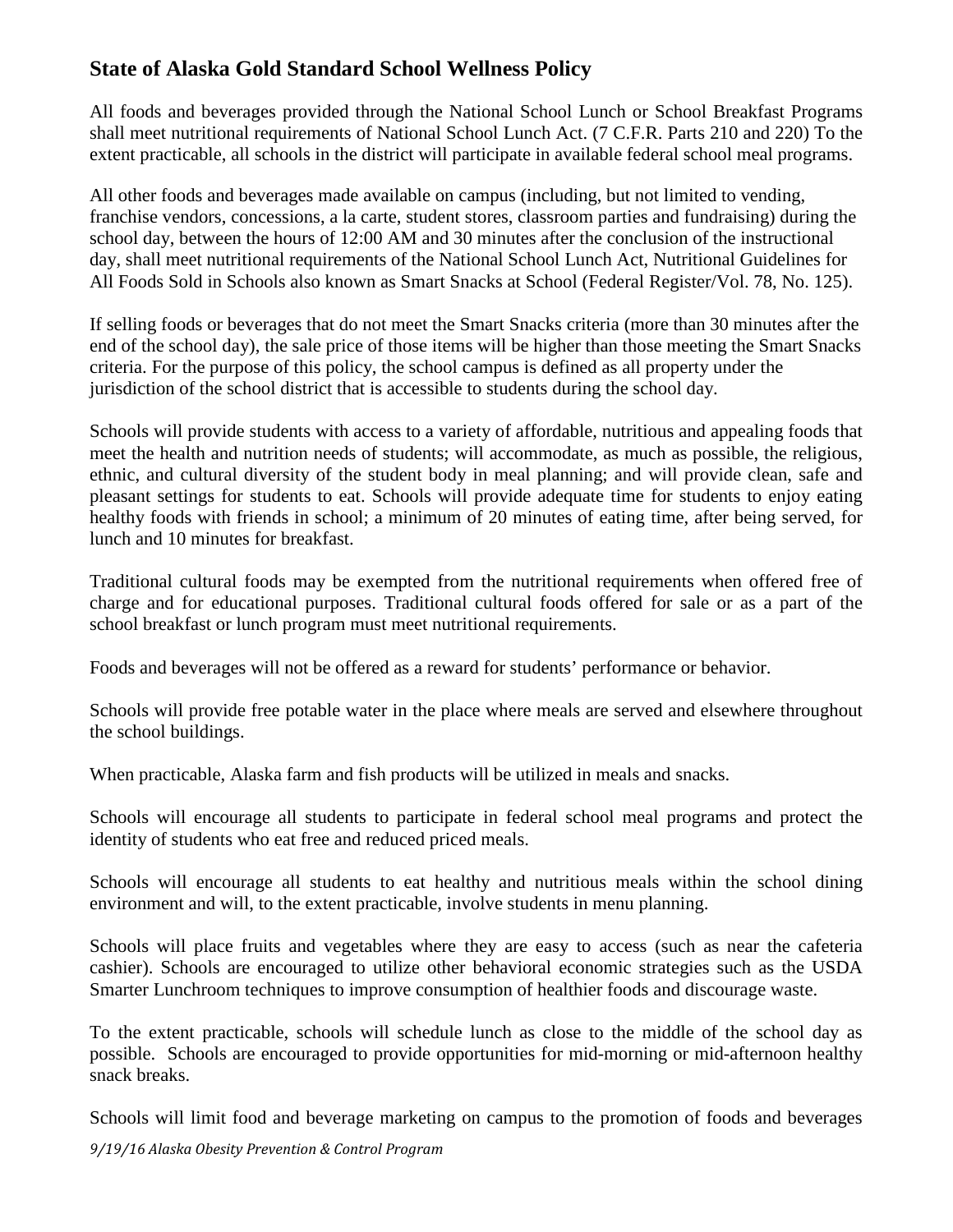All foods and beverages provided through the National School Lunch or School Breakfast Programs shall meet nutritional requirements of National School Lunch Act. (7 C.F.R. Parts 210 and 220) To the extent practicable, all schools in the district will participate in available federal school meal programs.

All other foods and beverages made available on campus (including, but not limited to vending, franchise vendors, concessions, a la carte, student stores, classroom parties and fundraising) during the school day, between the hours of 12:00 AM and 30 minutes after the conclusion of the instructional day, shall meet nutritional requirements of the National School Lunch Act, Nutritional Guidelines for All Foods Sold in Schools also known as Smart Snacks at School (Federal Register/Vol. 78, No. 125).

If selling foods or beverages that do not meet the Smart Snacks criteria (more than 30 minutes after the end of the school day), the sale price of those items will be higher than those meeting the Smart Snacks criteria. For the purpose of this policy, the school campus is defined as all property under the jurisdiction of the school district that is accessible to students during the school day.

Schools will provide students with access to a variety of affordable, nutritious and appealing foods that meet the health and nutrition needs of students; will accommodate, as much as possible, the religious, ethnic, and cultural diversity of the student body in meal planning; and will provide clean, safe and pleasant settings for students to eat. Schools will provide adequate time for students to enjoy eating healthy foods with friends in school; a minimum of 20 minutes of eating time, after being served, for lunch and 10 minutes for breakfast.

Traditional cultural foods may be exempted from the nutritional requirements when offered free of charge and for educational purposes. Traditional cultural foods offered for sale or as a part of the school breakfast or lunch program must meet nutritional requirements.

Foods and beverages will not be offered as a reward for students' performance or behavior.

Schools will provide free potable water in the place where meals are served and elsewhere throughout the school buildings.

When practicable, Alaska farm and fish products will be utilized in meals and snacks.

Schools will encourage all students to participate in federal school meal programs and protect the identity of students who eat free and reduced priced meals.

Schools will encourage all students to eat healthy and nutritious meals within the school dining environment and will, to the extent practicable, involve students in menu planning.

Schools will place fruits and vegetables where they are easy to access (such as near the cafeteria cashier). Schools are encouraged to utilize other behavioral economic strategies such as the USDA Smarter Lunchroom techniques to improve consumption of healthier foods and discourage waste.

To the extent practicable, schools will schedule lunch as close to the middle of the school day as possible. Schools are encouraged to provide opportunities for mid-morning or mid-afternoon healthy snack breaks.

Schools will limit food and beverage marketing on campus to the promotion of foods and beverages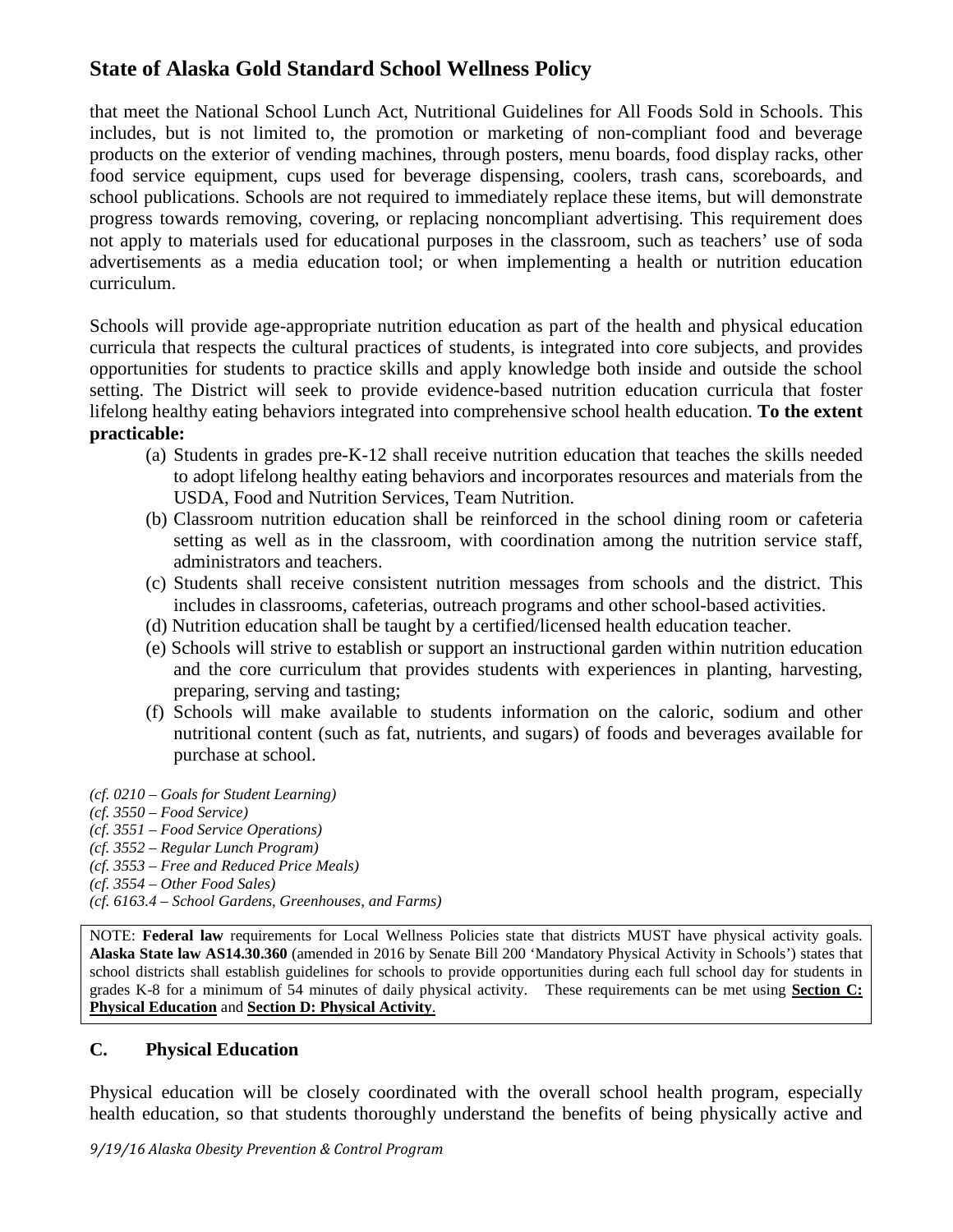that meet the National School Lunch Act, Nutritional Guidelines for All Foods Sold in Schools. This includes, but is not limited to, the promotion or marketing of non-compliant food and beverage products on the exterior of vending machines, through posters, menu boards, food display racks, other food service equipment, cups used for beverage dispensing, coolers, trash cans, scoreboards, and school publications. Schools are not required to immediately replace these items, but will demonstrate progress towards removing, covering, or replacing noncompliant advertising. This requirement does not apply to materials used for educational purposes in the classroom, such as teachers' use of soda advertisements as a media education tool; or when implementing a health or nutrition education curriculum.

Schools will provide age-appropriate nutrition education as part of the health and physical education curricula that respects the cultural practices of students, is integrated into core subjects, and provides opportunities for students to practice skills and apply knowledge both inside and outside the school setting. The District will seek to provide evidence-based nutrition education curricula that foster lifelong healthy eating behaviors integrated into comprehensive school health education. **To the extent practicable:** 

- (a) Students in grades pre-K-12 shall receive nutrition education that teaches the skills needed to adopt lifelong healthy eating behaviors and incorporates resources and materials from the USDA, Food and Nutrition Services, Team Nutrition.
- (b) Classroom nutrition education shall be reinforced in the school dining room or cafeteria setting as well as in the classroom, with coordination among the nutrition service staff, administrators and teachers.
- (c) Students shall receive consistent nutrition messages from schools and the district. This includes in classrooms, cafeterias, outreach programs and other school-based activities.
- (d) Nutrition education shall be taught by a certified/licensed health education teacher.
- (e) Schools will strive to establish or support an instructional garden within nutrition education and the core curriculum that provides students with experiences in planting, harvesting, preparing, serving and tasting;
- (f) Schools will make available to students information on the caloric, sodium and other nutritional content (such as fat, nutrients, and sugars) of foods and beverages available for purchase at school.
- *(cf. 0210 Goals for Student Learning)*
- *(cf. 3550 Food Service)*
- *(cf. 3551 Food Service Operations)*
- *(cf. 3552 Regular Lunch Program)*
- *(cf. 3553 Free and Reduced Price Meals)*
- *(cf. 3554 Other Food Sales)*
- *(cf. 6163.4 School Gardens, Greenhouses, and Farms)*

NOTE: **Federal law** requirements for Local Wellness Policies state that districts MUST have physical activity goals. **Alaska State law AS14.30.360** (amended in 2016 by Senate Bill 200 'Mandatory Physical Activity in Schools') states that school districts shall establish guidelines for schools to provide opportunities during each full school day for students in grades K-8 for a minimum of 54 minutes of daily physical activity. These requirements can be met using **Section C: Physical Education** and **Section D: Physical Activity**.

#### **C. Physical Education**

Physical education will be closely coordinated with the overall school health program, especially health education, so that students thoroughly understand the benefits of being physically active and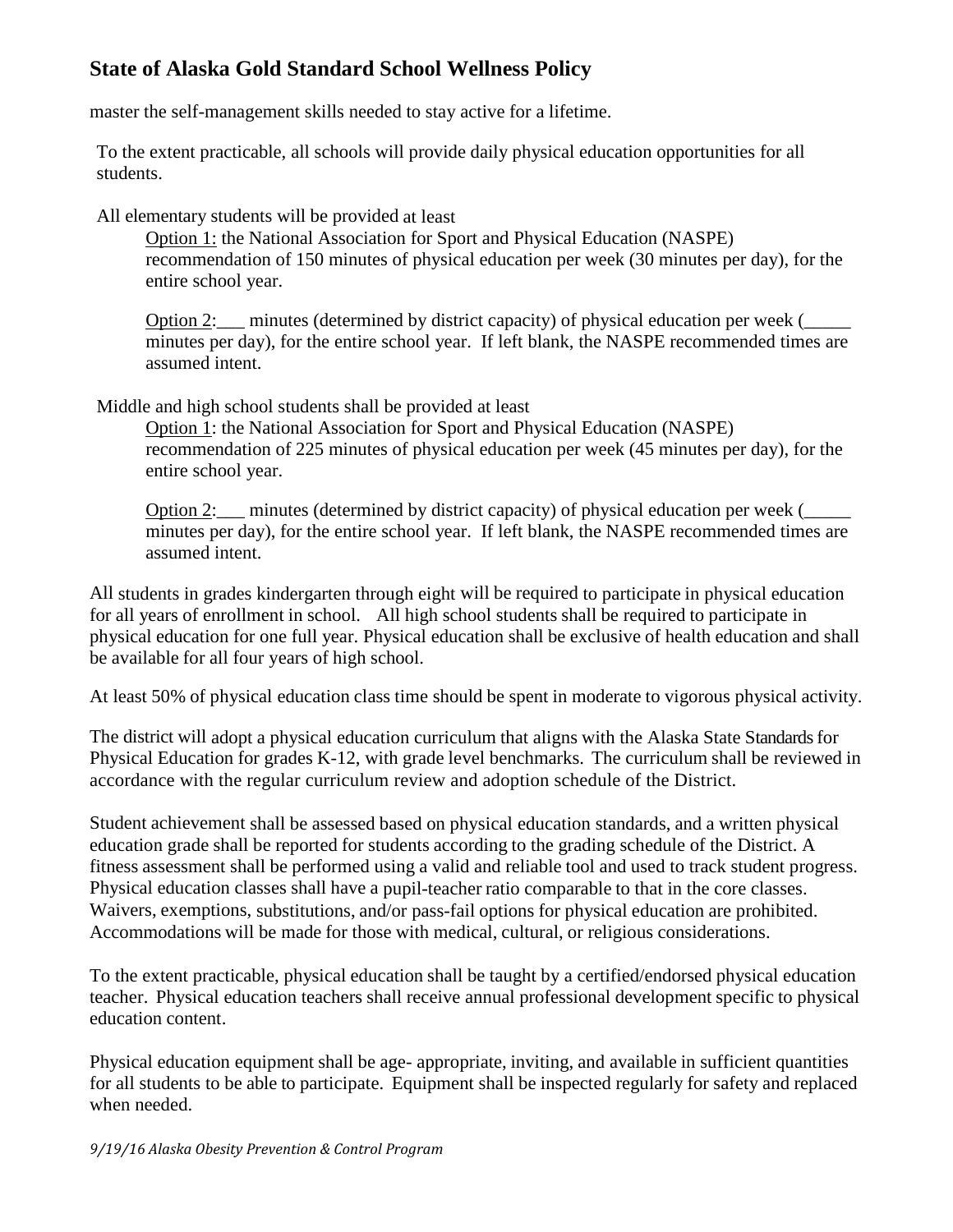master the self-management skills needed to stay active for a lifetime.

To the extent practicable, all schools will provide daily physical education opportunities for all students.

All elementary students will be provided at least

Option 1: the National Association for Sport and Physical Education (NASPE) recommendation of 150 minutes of physical education per week (30 minutes per day), for the entire school year.

Option 2: minutes (determined by district capacity) of physical education per week ( minutes per day), for the entire school year. If left blank, the NASPE recommended times are assumed intent.

Middle and high school students shall be provided at least

Option 1: the National Association for Sport and Physical Education (NASPE) recommendation of 225 minutes of physical education per week (45 minutes per day), for the entire school year.

Option 2: minutes (determined by district capacity) of physical education per week ( minutes per day), for the entire school year. If left blank, the NASPE recommended times are assumed intent.

All students in grades kindergarten through eight will be required to participate in physical education for all years of enrollment in school. All high school students shall be required to participate in physical education for one full year. Physical education shall be exclusive of health education and shall be available for all four years of high school.

At least 50% of physical education class time should be spent in moderate to vigorous physical activity.

The district will adopt a physical education curriculum that aligns with the Alaska State Standards for Physical Education for grades K-12, with grade level benchmarks. The curriculum shall be reviewed in accordance with the regular curriculum review and adoption schedule of the District.

Student achievement shall be assessed based on physical education standards, and a written physical education grade shall be reported for students according to the grading schedule of the District. A fitness assessment shall be performed using a valid and reliable tool and used to track student progress. Physical education classes shall have a pupil-teacher ratio comparable to that in the core classes. Waivers, exemptions, substitutions, and/or pass-fail options for physical education are prohibited. Accommodations will be made for those with medical, cultural, or religious considerations.

To the extent practicable, physical education shall be taught by a certified/endorsed physical education teacher. Physical education teachers shall receive annual professional development specific to physical education content.

Physical education equipment shall be age- appropriate, inviting, and available in sufficient quantities for all students to be able to participate. Equipment shall be inspected regularly for safety and replaced when needed.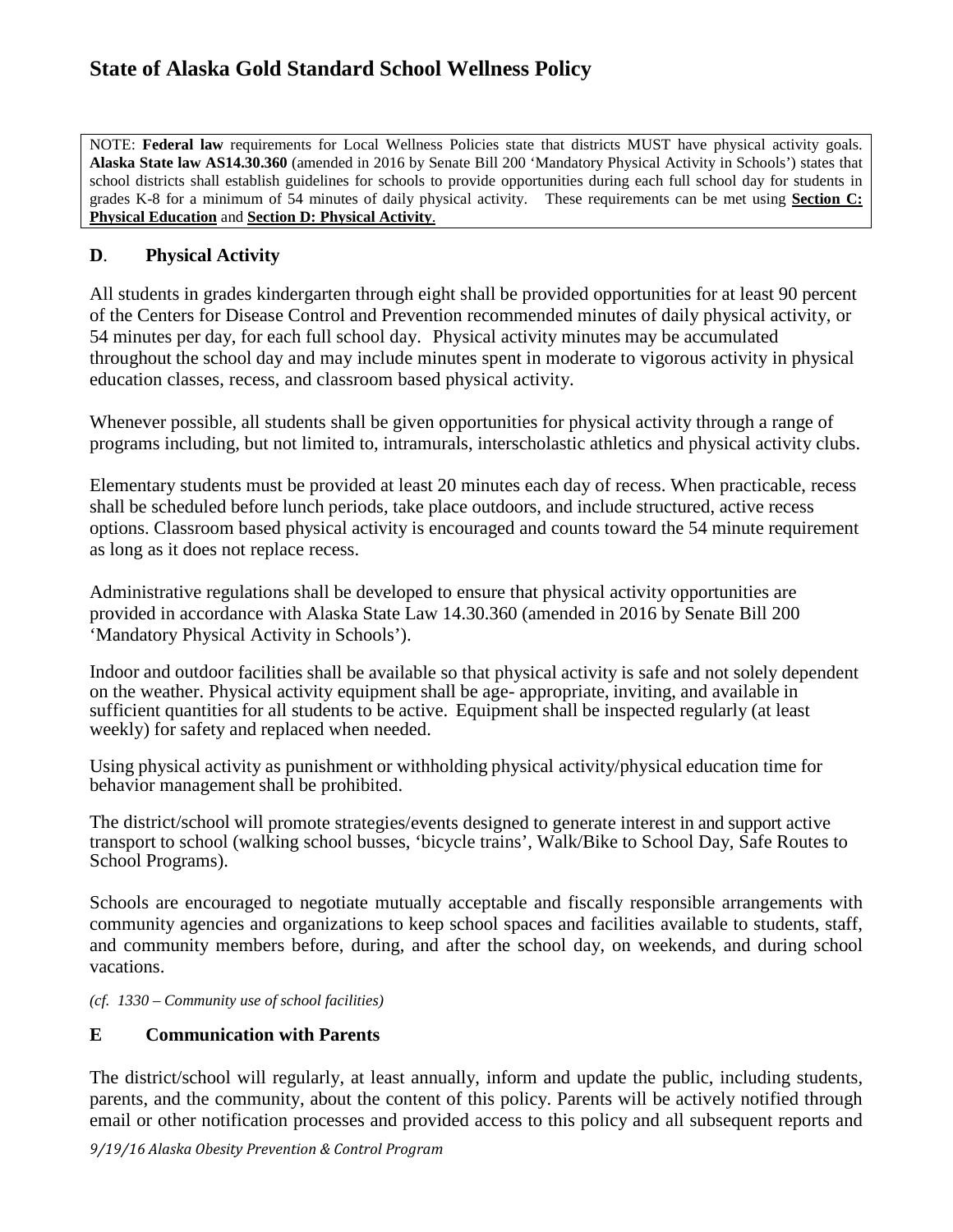NOTE: **Federal law** requirements for Local Wellness Policies state that districts MUST have physical activity goals. **Alaska State law AS14.30.360** (amended in 2016 by Senate Bill 200 'Mandatory Physical Activity in Schools') states that school districts shall establish guidelines for schools to provide opportunities during each full school day for students in grades K-8 for a minimum of 54 minutes of daily physical activity. These requirements can be met using **Section C: Physical Education** and **Section D: Physical Activity**.

#### **D**. **Physical Activity**

All students in grades kindergarten through eight shall be provided opportunities for at least 90 percent of the Centers for Disease Control and Prevention recommended minutes of daily physical activity, or 54 minutes per day, for each full school day. Physical activity minutes may be accumulated throughout the school day and may include minutes spent in moderate to vigorous activity in physical education classes, recess, and classroom based physical activity.

Whenever possible, all students shall be given opportunities for physical activity through a range of programs including, but not limited to, intramurals, interscholastic athletics and physical activity clubs.

Elementary students must be provided at least 20 minutes each day of recess. When practicable, recess shall be scheduled before lunch periods, take place outdoors, and include structured, active recess options. Classroom based physical activity is encouraged and counts toward the 54 minute requirement as long as it does not replace recess.

Administrative regulations shall be developed to ensure that physical activity opportunities are provided in accordance with Alaska State Law 14.30.360 (amended in 2016 by Senate Bill 200 'Mandatory Physical Activity in Schools').

Indoor and outdoor facilities shall be available so that physical activity is safe and not solely dependent on the weather. Physical activity equipment shall be age- appropriate, inviting, and available in sufficient quantities for all students to be active. Equipment shall be inspected regularly (at least weekly) for safety and replaced when needed.

Using physical activity as punishment or withholding physical activity/physical education time for behavior management shall be prohibited.

The district/school will promote strategies/events designed to generate interest in and support active transport to school (walking school busses, 'bicycle trains', Walk/Bike to School Day, Safe Routes to School Programs).

Schools are encouraged to negotiate mutually acceptable and fiscally responsible arrangements with community agencies and organizations to keep school spaces and facilities available to students, staff, and community members before, during, and after the school day, on weekends, and during school vacations.

*(cf. 1330 – Community use of school facilities)*

#### **E Communication with Parents**

The district/school will regularly, at least annually, inform and update the public, including students, parents, and the community, about the content of this policy. Parents will be actively notified through email or other notification processes and provided access to this policy and all subsequent reports and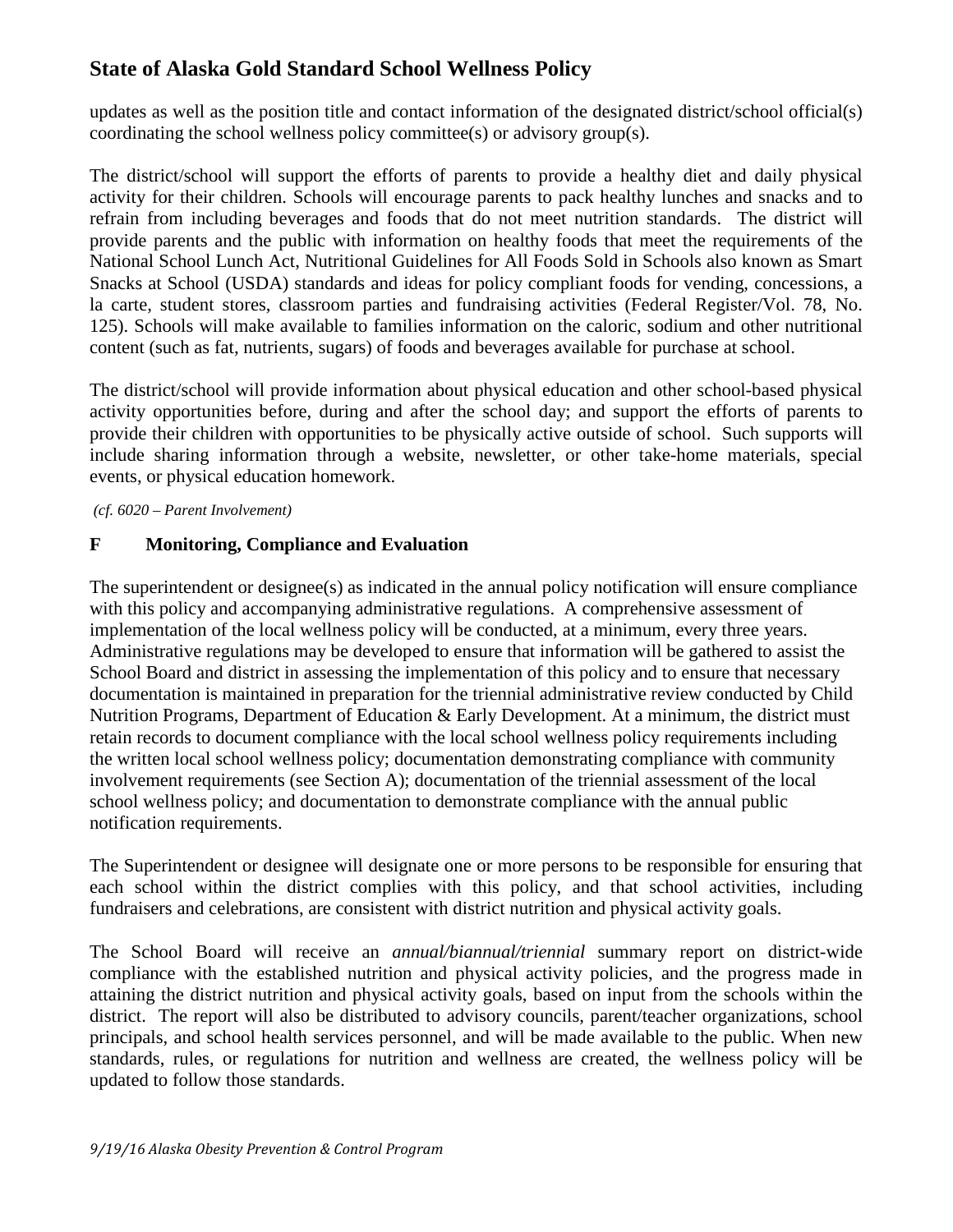updates as well as the position title and contact information of the designated district/school official(s) coordinating the school wellness policy committee(s) or advisory group(s).

The district/school will support the efforts of parents to provide a healthy diet and daily physical activity for their children. Schools will encourage parents to pack healthy lunches and snacks and to refrain from including beverages and foods that do not meet nutrition standards. The district will provide parents and the public with information on healthy foods that meet the requirements of the National School Lunch Act, Nutritional Guidelines for All Foods Sold in Schools also known as Smart Snacks at School (USDA) standards and ideas for policy compliant foods for vending, concessions, a la carte, student stores, classroom parties and fundraising activities (Federal Register/Vol. 78, No. 125). Schools will make available to families information on the caloric, sodium and other nutritional content (such as fat, nutrients, sugars) of foods and beverages available for purchase at school.

The district/school will provide information about physical education and other school-based physical activity opportunities before, during and after the school day; and support the efforts of parents to provide their children with opportunities to be physically active outside of school. Such supports will include sharing information through a website, newsletter, or other take-home materials, special events, or physical education homework.

*(cf. 6020 – Parent Involvement)*

### **F Monitoring, Compliance and Evaluation**

The superintendent or designee(s) as indicated in the annual policy notification will ensure compliance with this policy and accompanying administrative regulations. A comprehensive assessment of implementation of the local wellness policy will be conducted, at a minimum, every three years. Administrative regulations may be developed to ensure that information will be gathered to assist the School Board and district in assessing the implementation of this policy and to ensure that necessary documentation is maintained in preparation for the triennial administrative review conducted by Child Nutrition Programs, Department of Education & Early Development. At a minimum, the district must retain records to document compliance with the local school wellness policy requirements including the written local school wellness policy; documentation demonstrating compliance with community involvement requirements (see Section A); documentation of the triennial assessment of the local school wellness policy; and documentation to demonstrate compliance with the annual public notification requirements.

The Superintendent or designee will designate one or more persons to be responsible for ensuring that each school within the district complies with this policy, and that school activities, including fundraisers and celebrations, are consistent with district nutrition and physical activity goals.

The School Board will receive an *annual/biannual/triennial* summary report on district-wide compliance with the established nutrition and physical activity policies, and the progress made in attaining the district nutrition and physical activity goals, based on input from the schools within the district. The report will also be distributed to advisory councils, parent/teacher organizations, school principals, and school health services personnel, and will be made available to the public. When new standards, rules, or regulations for nutrition and wellness are created, the wellness policy will be updated to follow those standards.